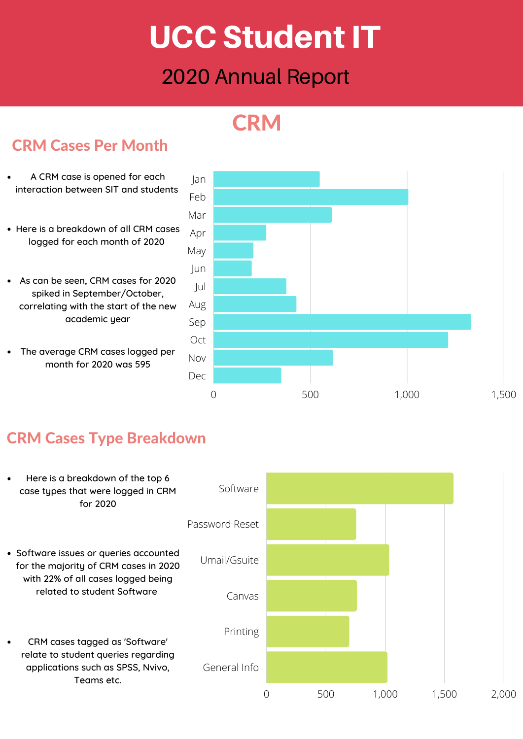# UCC StudentIT

## 2020 Annual Report

## **CRM**



#### CRM Cases Per Month

# CRM Cases Type Breakdown

- A CRM case is opened for each interaction between SIT and students
- Here is a breakdown of all CRM cases logged for each month of 2020
- As can be seen, CRM cases for 2020 spiked in September/October, correlating with the start of the new academic year
- The average CRM cases logged per month for 2020 was 595

![](_page_0_Figure_10.jpeg)